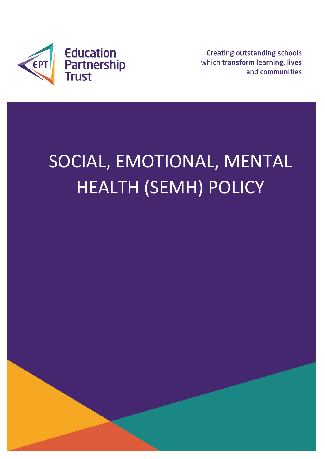

**Creating outstanding schools** which transform learning, lives and communities

# SOCIAL, EMOTIONAL, MENTAL HEALTH (SEMH) POLICY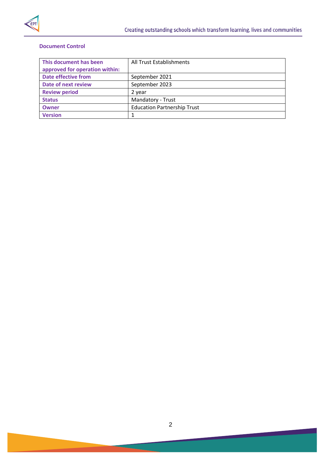

## **Document Control**

| All Trust Establishments           |
|------------------------------------|
|                                    |
| September 2021                     |
| September 2023                     |
| 2 year                             |
| Mandatory - Trust                  |
| <b>Education Partnership Trust</b> |
|                                    |
|                                    |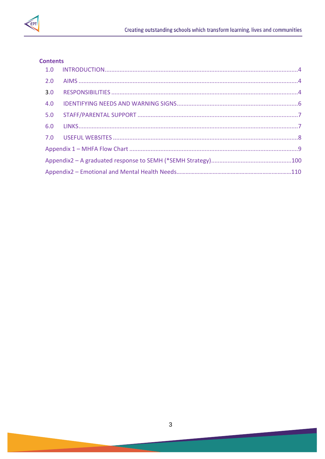

# **Contents**

| 5.0 |  |
|-----|--|
|     |  |
|     |  |
|     |  |
|     |  |
|     |  |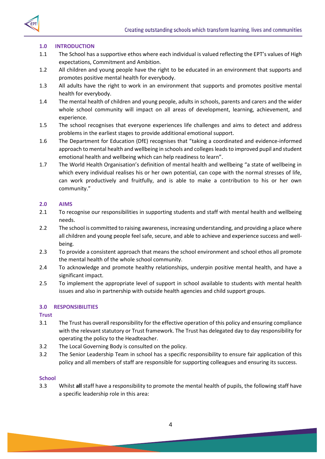

# <span id="page-3-0"></span>**1.0 INTRODUCTION**

- 1.1 The School has a supportive ethos where each individual is valued reflecting the EPT's values of High expectations, Commitment and Ambition.
- 1.2 All children and young people have the right to be educated in an environment that supports and promotes positive mental health for everybody.
- 1.3 All adults have the right to work in an environment that supports and promotes positive mental health for everybody.
- 1.4 The mental health of children and young people, adults in schools, parents and carers and the wider whole school community will impact on all areas of development, learning, achievement, and experience.
- 1.5 The school recognises that everyone experiences life challenges and aims to detect and address problems in the earliest stages to provide additional emotional support.
- 1.6 The Department for Education (DfE) recognises that "taking a coordinated and evidence-informed approach to mental health and wellbeing in schools and colleges leads to improved pupil and student emotional health and wellbeing which can help readiness to learn".
- 1.7 The World Health Organisation's definition of mental health and wellbeing "a state of wellbeing in which every individual realises his or her own potential, can cope with the normal stresses of life, can work productively and fruitfully, and is able to make a contribution to his or her own community."

## <span id="page-3-1"></span>**2.0 AIMS**

- 2.1 To recognise our responsibilities in supporting students and staff with mental health and wellbeing needs.
- 2.2 The school is committed to raising awareness, increasing understanding, and providing a place where all children and young people feel safe, secure, and able to achieve and experience success and wellbeing.
- 2.3 To provide a consistent approach that means the school environment and school ethos all promote the mental health of the whole school community.
- 2.4 To acknowledge and promote healthy relationships, underpin positive mental health, and have a significant impact.
- 2.5 To implement the appropriate level of support in school available to students with mental health issues and also in partnership with outside health agencies and child support groups.

# **3.0 RESPONSIBILITIES**

**Trust**

- 3.1 The Trust has overall responsibility for the effective operation of this policy and ensuring compliance with the relevant statutory or Trust framework. The Trust has delegated day to day responsibility for operating the policy to the Headteacher.
- 3.2 The Local Governing Body is consulted on the policy.
- 3.2 The Senior Leadership Team in school has a specific responsibility to ensure fair application of this policy and all members of staff are responsible for supporting colleagues and ensuring its success.

# **School**

3.3 Whilst **all** staff have a responsibility to promote the mental health of pupils, the following staff have a specific leadership role in this area: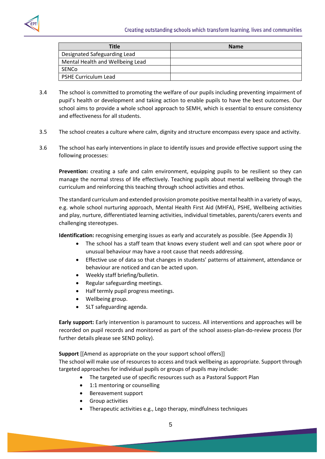

| Title                            | <b>Name</b> |
|----------------------------------|-------------|
| Designated Safeguarding Lead     |             |
| Mental Health and Wellbeing Lead |             |
| SENCo                            |             |
| <b>PSHE Curriculum Lead</b>      |             |

- 3.4 The school is committed to promoting the welfare of our pupils including preventing impairment of pupil's health or development and taking action to enable pupils to have the best outcomes. Our school aims to provide a whole school approach to SEMH, which is essential to ensure consistency and effectiveness for all students.
- 3.5 The school creates a culture where calm, dignity and structure encompass every space and activity.
- 3.6 The school has early interventions in place to identify issues and provide effective support using the following processes:

**Prevention:** creating a safe and calm environment, equipping pupils to be resilient so they can manage the normal stress of life effectively. Teaching pupils about mental wellbeing through the curriculum and reinforcing this teaching through school activities and ethos.

The standard curriculum and extended provision promote positive mental health in a variety of ways, e.g. whole school nurturing approach, Mental Health First Aid (MHFA), PSHE, Wellbeing activities and play, nurture, differentiated learning activities, individual timetables, parents/carers events and challenging stereotypes.

**Identification:** recognising emerging issues as early and accurately as possible. (See Appendix 3)

- The school has a staff team that knows every student well and can spot where poor or unusual behaviour may have a root cause that needs addressing.
- Effective use of data so that changes in students' patterns of attainment, attendance or behaviour are noticed and can be acted upon.
- Weekly staff briefing/bulletin.
- Regular safeguarding meetings.
- Half termly pupil progress meetings.
- Wellbeing group.
- SLT safeguarding agenda.

**Early support:** Early intervention is paramount to success. All interventions and approaches will be recorded on pupil records and monitored as part of the school assess-plan-do-review process (for further details please see SEND policy).

**Support** [[Amend as appropriate on the your support school offers]]

The school will make use of resources to access and track wellbeing as appropriate. Support through targeted approaches for individual pupils or groups of pupils may include:

- The targeted use of specific resources such as a Pastoral Support Plan
- 1:1 mentoring or counselling
- Bereavement support
- Group activities
- Therapeutic activities e.g., Lego therapy, mindfulness techniques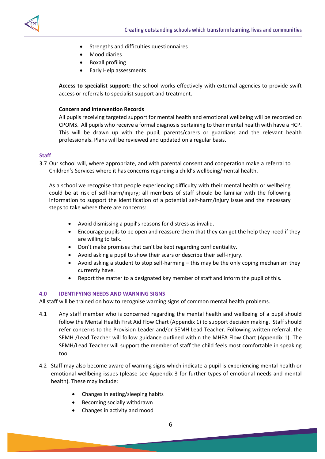

- **•** Strengths and difficulties questionnaires
- Mood diaries
- Boxall profiling
- Early Help assessments

**Access to specialist support:** the school works effectively with external agencies to provide swift access or referrals to specialist support and treatment.

#### **Concern and Intervention Records**

All pupils receiving targeted support for mental health and emotional wellbeing will be recorded on CPOMS. All pupils who receive a formal diagnosis pertaining to their mental health with have a HCP. This will be drawn up with the pupil, parents/carers or guardians and the relevant health professionals. Plans will be reviewed and updated on a regular basis.

#### **Staff**

3.7 Our school will, where appropriate, and with parental consent and cooperation make a referral to Children's Services where it has concerns regarding a child's wellbeing/mental health.

As a school we recognise that people experiencing difficulty with their mental health or wellbeing could be at risk of self-harm/injury; all members of staff should be familiar with the following information to support the identification of a potential self-harm/injury issue and the necessary steps to take where there are concerns:

- Avoid dismissing a pupil's reasons for distress as invalid.
- Encourage pupils to be open and reassure them that they can get the help they need if they are willing to talk.
- Don't make promises that can't be kept regarding confidentiality.
- Avoid asking a pupil to show their scars or describe their self-injury.
- Avoid asking a student to stop self-harming this may be the only coping mechanism they currently have.
- Report the matter to a designated key member of staff and inform the pupil of this.

#### **4.0 IDENTIFYING NEEDS AND WARNING SIGNS**

All staff will be trained on how to recognise warning signs of common mental health problems.

- 4.1 Any staff member who is concerned regarding the mental health and wellbeing of a pupil should follow the Mental Health First Aid Flow Chart (Appendix 1) to support decision making. Staff should refer concerns to the Provision Leader and/or SEMH Lead Teacher. Following written referral, the SEMH /Lead Teacher will follow guidance outlined within the MHFA Flow Chart (Appendix 1). The SEMH/Lead Teacher will support the member of staff the child feels most comfortable in speaking too.
- 4.2 Staff may also become aware of warning signs which indicate a pupil is experiencing mental health or emotional wellbeing issues (please see Appendix 3 for further types of emotional needs and mental health). These may include:
	- Changes in eating/sleeping habits
	- Becoming socially withdrawn
	- Changes in activity and mood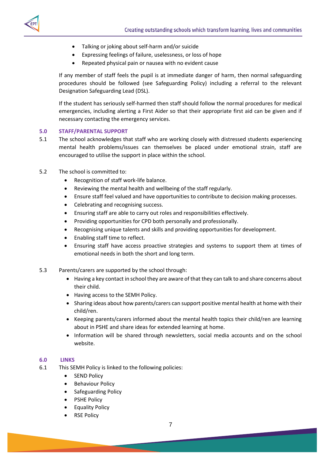



- Talking or joking about self-harm and/or suicide
- Expressing feelings of failure, uselessness, or loss of hope
- Repeated physical pain or nausea with no evident cause

If any member of staff feels the pupil is at immediate danger of harm, then normal safeguarding procedures should be followed (see Safeguarding Policy) including a referral to the relevant Designation Safeguarding Lead (DSL).

If the student has seriously self-harmed then staff should follow the normal procedures for medical emergencies, including alerting a First Aider so that their appropriate first aid can be given and if necessary contacting the emergency services.

## <span id="page-6-0"></span>**5.0 STAFF/PARENTAL SUPPORT**

- 5.1 The school acknowledges that staff who are working closely with distressed students experiencing mental health problems/issues can themselves be placed under emotional strain, staff are encouraged to utilise the support in place within the school.
- 5.2 The school is committed to:
	- Recognition of staff work-life balance.
	- Reviewing the mental health and wellbeing of the staff regularly.
	- Ensure staff feel valued and have opportunities to contribute to decision making processes.
	- Celebrating and recognising success.
	- Ensuring staff are able to carry out roles and responsibilities effectively.
	- Providing opportunities for CPD both personally and professionally.
	- Recognising unique talents and skills and providing opportunities for development.
	- Enabling staff time to reflect.
	- Ensuring staff have access proactive strategies and systems to support them at times of emotional needs in both the short and long term.
- 5.3 Parents/carers are supported by the school through:
	- Having a key contact in school they are aware of that they can talk to and share concerns about their child.
	- Having access to the SEMH Policy.
	- Sharing ideas about how parents/carers can support positive mental health at home with their child/ren.
	- Keeping parents/carers informed about the mental health topics their child/ren are learning about in PSHE and share ideas for extended learning at home.
	- Information will be shared through newsletters, social media accounts and on the school website.

#### **6.0 LINKS**

- 6.1 This SEMH Policy is linked to the following policies:
	- SEND Policy
	- Behaviour Policy
	- Safeguarding Policy
	- PSHE Policy
	- Equality Policy
	- RSE Policy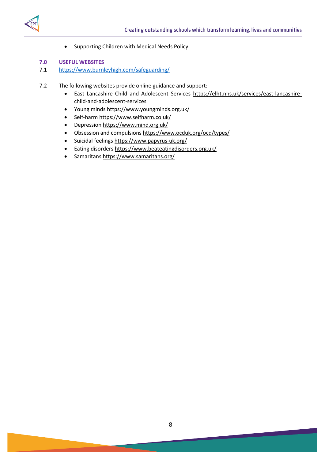

Supporting Children with Medical Needs Policy

## **7.0 USEFUL WEBSITES**

## 7.1 <https://www.burnleyhigh.com/safeguarding/>

- 7.2 The following websites provide online guidance and support:
	- East Lancashire Child and Adolescent Services [https://elht.nhs.uk/services/east-lancashire](https://elht.nhs.uk/services/east-lancashire-child-and-adolescent-services)[child-and-adolescent-services](https://elht.nhs.uk/services/east-lancashire-child-and-adolescent-services)
	- Young minds <https://www.youngminds.org.uk/>
	- Self-harm <https://www.selfharm.co.uk/>
	- Depressio[n https://www.mind.org.uk/](https://www.mind.org.uk/)
	- Obsession and compulsion[s https://www.ocduk.org/ocd/types/](https://www.ocduk.org/ocd/types/)
	- Suicidal feeling[s https://www.papyrus-uk.org/](https://www.papyrus-uk.org/)
	- Eating disorders <https://www.beateatingdisorders.org.uk/>
	- Samaritans<https://www.samaritans.org/>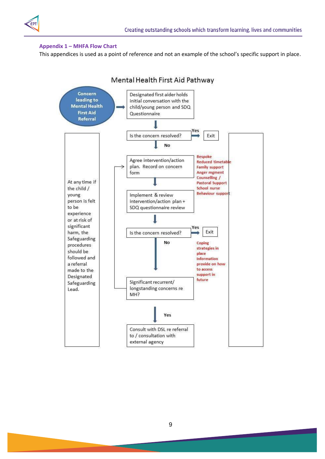

## <span id="page-8-0"></span>**Appendix 1 – MHFA Flow Chart**

This appendices is used as a point of reference and not an example of the school's specific support in place.

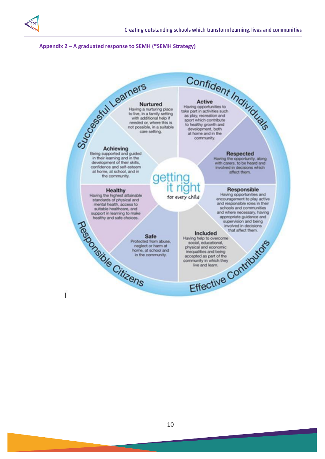

## <span id="page-9-0"></span>**Appendix 2 – A graduated response to SEMH (\*SEMH Strategy)**

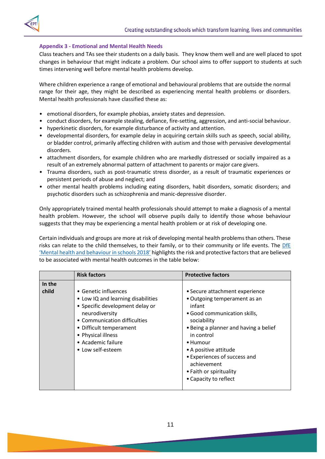

# **Appendix 3 - Emotional and Mental Health Needs**

Class teachers and TAs see their students on a daily basis. They know them well and are well placed to spot changes in behaviour that might indicate a problem. Our school aims to offer support to students at such times intervening well before mental health problems develop.

Where children experience a range of emotional and behavioural problems that are outside the normal range for their age, they might be described as experiencing mental health problems or disorders. Mental health professionals have classified these as:

- emotional disorders, for example phobias, anxiety states and depression.
- conduct disorders, for example stealing, defiance, fire-setting, aggression, and anti-social behaviour.
- hyperkinetic disorders, for example disturbance of activity and attention.
- developmental disorders, for example delay in acquiring certain skills such as speech, social ability, or bladder control, primarily affecting children with autism and those with pervasive developmental disorders.
- attachment disorders, for example children who are markedly distressed or socially impaired as a result of an extremely abnormal pattern of attachment to parents or major care givers.
- Trauma disorders, such as post-traumatic stress disorder, as a result of traumatic experiences or persistent periods of abuse and neglect; and
- other mental health problems including eating disorders, habit disorders, somatic disorders; and psychotic disorders such as schizophrenia and manic-depressive disorder.

Only appropriately trained mental health professionals should attempt to make a diagnosis of a mental health problem. However, the school will observe pupils daily to identify those whose behaviour suggests that they may be experiencing a mental health problem or at risk of developing one.

Certain individuals and groups are more at risk of developing mental health problems than others. These risks can relate to the child themselves, to their family, or to their community or life events. The [DfE](https://assets.publishing.service.gov.uk/government/uploads/system/uploads/attachment_data/file/634725/Supporting_Mental-Health_synthesis_report.pdf)  ['Mental health and behaviour in schools 2018'](https://assets.publishing.service.gov.uk/government/uploads/system/uploads/attachment_data/file/634725/Supporting_Mental-Health_synthesis_report.pdf) highlights the risk and protective factors that are believed to be associated with mental health outcomes in the table below:

|        | <b>Risk factors</b>                                                                                                                                                                                                                         | <b>Protective factors</b>                                                                                                                                                                                                                           |
|--------|---------------------------------------------------------------------------------------------------------------------------------------------------------------------------------------------------------------------------------------------|-----------------------------------------------------------------------------------------------------------------------------------------------------------------------------------------------------------------------------------------------------|
| In the |                                                                                                                                                                                                                                             |                                                                                                                                                                                                                                                     |
| child  | • Genetic influences<br>• Low IQ and learning disabilities<br>• Specific development delay or<br>neurodiversity<br>• Communication difficulties<br>• Difficult temperament<br>• Physical illness<br>• Academic failure<br>• Low self-esteem | • Secure attachment experience<br>• Outgoing temperament as an<br>infant<br>• Good communication skills,<br>sociability<br>• Being a planner and having a belief<br>in control<br>• Humour<br>• A positive attitude<br>• Experiences of success and |
|        |                                                                                                                                                                                                                                             | achievement<br>• Faith or spirituality<br>• Capacity to reflect                                                                                                                                                                                     |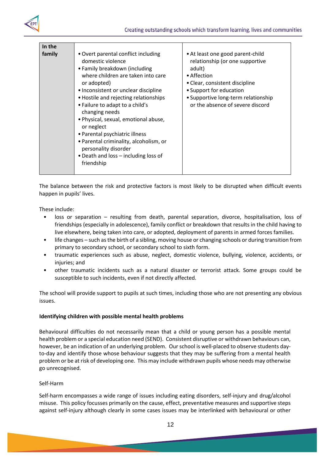

| In the |                                                                                                                                                                                                                                                                                                                                                                                                                                                                                                      |                                                                                                                                                                                                                                      |
|--------|------------------------------------------------------------------------------------------------------------------------------------------------------------------------------------------------------------------------------------------------------------------------------------------------------------------------------------------------------------------------------------------------------------------------------------------------------------------------------------------------------|--------------------------------------------------------------------------------------------------------------------------------------------------------------------------------------------------------------------------------------|
| family | • Overt parental conflict including<br>domestic violence<br>• Family breakdown (including<br>where children are taken into care<br>or adopted)<br>• Inconsistent or unclear discipline<br>• Hostile and rejecting relationships<br>• Failure to adapt to a child's<br>changing needs<br>· Physical, sexual, emotional abuse,<br>or neglect<br>• Parental psychiatric illness<br>• Parental criminality, alcoholism, or<br>personality disorder<br>• Death and loss - including loss of<br>friendship | • At least one good parent-child<br>relationship (or one supportive<br>adult)<br>• Affection<br>• Clear, consistent discipline<br>• Support for education<br>• Supportive long-term relationship<br>or the absence of severe discord |

The balance between the risk and protective factors is most likely to be disrupted when difficult events happen in pupils' lives.

These include:

- loss or separation resulting from death, parental separation, divorce, hospitalisation, loss of friendships (especially in adolescence), family conflict or breakdown that results in the child having to live elsewhere, being taken into care, or adopted, deployment of parents in armed forces families.
- life changes such as the birth of a sibling, moving house or changing schools or during transition from primary to secondary school, or secondary school to sixth form.
- traumatic experiences such as abuse, neglect, domestic violence, bullying, violence, accidents, or injuries; and
- other traumatic incidents such as a natural disaster or terrorist attack. Some groups could be susceptible to such incidents, even if not directly affected.

The school will provide support to pupils at such times, including those who are not presenting any obvious issues.

# **Identifying children with possible mental health problems**

Behavioural difficulties do not necessarily mean that a child or young person has a possible mental health problem or a special education need (SEND). Consistent disruptive or withdrawn behaviours can, however, be an indication of an underlying problem. Our school is well-placed to observe students dayto-day and identify those whose behaviour suggests that they may be suffering from a mental health problem or be at risk of developing one. This may include withdrawn pupils whose needs may otherwise go unrecognised.

#### Self-Harm

Self-harm encompasses a wide range of issues including eating disorders, self-injury and drug/alcohol misuse. This policy focusses primarily on the cause, effect, preventative measures and supportive steps against self-injury although clearly in some cases issues may be interlinked with behavioural or other

12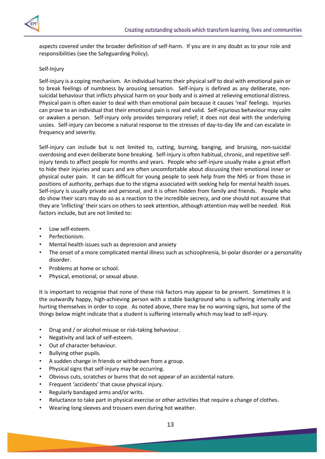

aspects covered under the broader definition of self-harm. If you are in any doubt as to your role and responsibilities (see the Safeguarding Policy).

#### Self-Injury

Self-injury is a coping mechanism. An individual harms their physical self to deal with emotional pain or to break feelings of numbness by arousing sensation. Self-injury is defined as any deliberate, nonsuicidal behaviour that inflicts physical harm on your body and is aimed at relieving emotional distress. Physical pain is often easier to deal with than emotional pain because it causes 'real' feelings. Injuries can prove to an individual that their emotional pain is real and valid. Self-injurious behaviour may calm or awaken a person. Self-injury only provides temporary relief; it does not deal with the underlying ussies. Self-injury can become a natural response to the stresses of day-to-day life and can escalate in frequency and severity.

Self-injury can include but is not limited to, cutting, burning, banging, and bruising, non-suicidal overdosing and even deliberate bone breaking. Self-injury is often habitual, chronic, and repetitive selfinjury tends to affect people for months and years. People who self-injure usually make a great effort to hide their injuries and scars and are often uncomfortable about discussing their emotional inner or physical outer pain. It can be difficult for young people to seek help from the NHS or from those in positions of authority, perhaps due to the stigma associated with seeking help for mental health issues. Self-injury is usually private and personal, and it is often hidden from family and friends. People who do show their scars may do so as a reaction to the incredible secrecy, and one should not assume that they are 'inflicting' their scars on others to seek attention, although attention may well be needed. Risk factors include, but are not limited to:

- Low self-esteem.
- Perfectionism.
- Mental health issues such as depression and anxiety
- The onset of a more complicated mental illness such as schizophrenia, bi-polar disorder or a personality disorder.
- Problems at home or school.
- Physical, emotional, or sexual abuse.

It is important to recognise that none of these risk factors may appear to be present. Sometimes it is the outwardly happy, high-achieving person with a stable background who is suffering internally and hurting themselves in order to cope. As noted above, there may be no warning signs, but some of the things below might indicate that a student is suffering internally which may lead to self-injury.

- Drug and / or alcohol misuse or risk-taking behaviour.
- Negativity and lack of self-esteem.
- Out of character behaviour.
- Bullying other pupils.
- A sudden change in friends or withdrawn from a group.
- Physical signs that self-injury may be occurring.
- Obvious cuts, scratches or burns that do not appear of an accidental nature.
- Frequent 'accidents' that cause physical injury.
- Regularly bandaged arms and/or writs.
- Reluctance to take part in physical exercise or other activities that require a change of clothes.
- Wearing long sleeves and trousers even during hot weather.